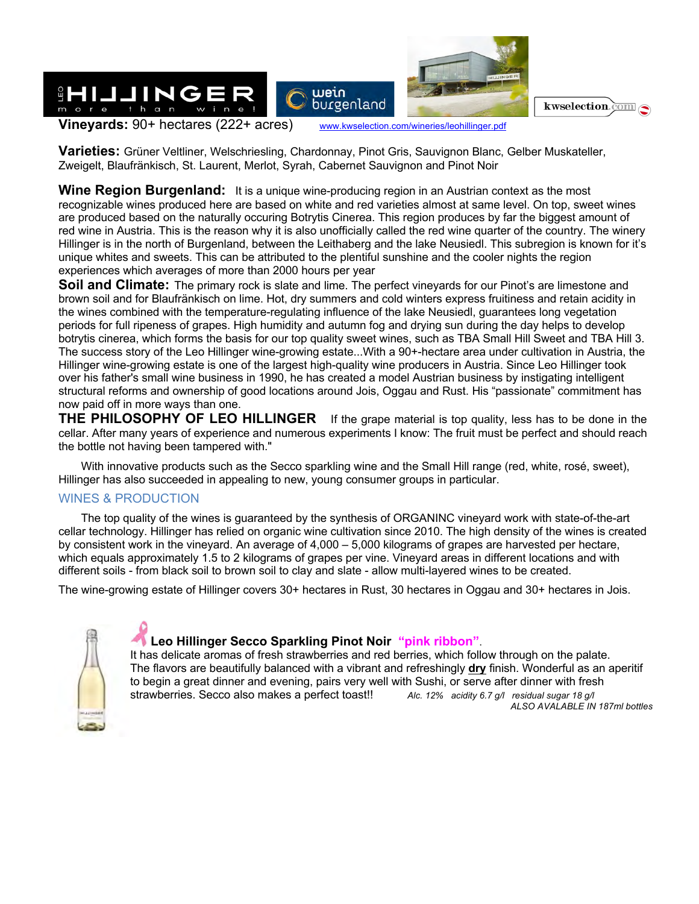

**Varieties:** Grüner Veltliner, Welschriesling, Chardonnay, Pinot Gris, Sauvignon Blanc, Gelber Muskateller, Zweigelt, Blaufränkisch, St. Laurent, Merlot, Syrah, Cabernet Sauvignon and Pinot Noir

**Wine Region Burgenland:** It is a unique wine-producing region in an Austrian context as the most recognizable wines produced here are based on white and red varieties almost at same level. On top, sweet wines are produced based on the naturally occuring Botrytis Cinerea. This region produces by far the biggest amount of red wine in Austria. This is the reason why it is also unofficially called the red wine quarter of the country. The winery Hillinger is in the north of Burgenland, between the Leithaberg and the lake Neusiedl. This subregion is known for it's unique whites and sweets. This can be attributed to the plentiful sunshine and the cooler nights the region experiences which averages of more than 2000 hours per year

**Soil and Climate:** The primary rock is slate and lime. The perfect vineyards for our Pinot's are limestone and brown soil and for Blaufränkisch on lime. Hot, dry summers and cold winters express fruitiness and retain acidity in the wines combined with the temperature-regulating influence of the lake Neusiedl, guarantees long vegetation periods for full ripeness of grapes. High humidity and autumn fog and drying sun during the day helps to develop botrytis cinerea, which forms the basis for our top quality sweet wines, such as TBA Small Hill Sweet and TBA Hill 3. The success story of the Leo Hillinger wine-growing estate...With a 90+-hectare area under cultivation in Austria, the Hillinger wine-growing estate is one of the largest high-quality wine producers in Austria. Since Leo Hillinger took over his father's small wine business in 1990, he has created a model Austrian business by instigating intelligent structural reforms and ownership of good locations around Jois, Oggau and Rust. His "passionate" commitment has now paid off in more ways than one.

**THE PHILOSOPHY OF LEO HILLINGER** If the grape material is top quality, less has to be done in the cellar. After many years of experience and numerous experiments I know: The fruit must be perfect and should reach the bottle not having been tampered with."

With innovative products such as the Secco sparkling wine and the Small Hill range (red, white, rosé, sweet), Hillinger has also succeeded in appealing to new, young consumer groups in particular.

#### WINES & PRODUCTION

The top quality of the wines is guaranteed by the synthesis of ORGANINC vineyard work with state-of-the-art cellar technology. Hillinger has relied on organic wine cultivation since 2010. The high density of the wines is created by consistent work in the vineyard. An average of 4,000 – 5,000 kilograms of grapes are harvested per hectare, which equals approximately 1.5 to 2 kilograms of grapes per vine. Vineyard areas in different locations and with different soils - from black soil to brown soil to clay and slate - allow multi-layered wines to be created.

The wine-growing estate of Hillinger covers 30+ hectares in Rust, 30 hectares in Oggau and 30+ hectares in Jois.



#### **Leo Hillinger Secco Sparkling Pinot Noir "pink ribbon"**.

It has delicate aromas of fresh strawberries and red berries, which follow through on the palate. The flavors are beautifully balanced with a vibrant and refreshingly **dry** finish. Wonderful as an aperitif to begin a great dinner and evening, pairs very well with Sushi, or serve after dinner with fresh strawberries. Secco also makes a perfect toast!! *Alc. 12% acidity 6.7 g/l residual sugar 18 g/l ALSO AVALABLE IN 187ml bottles*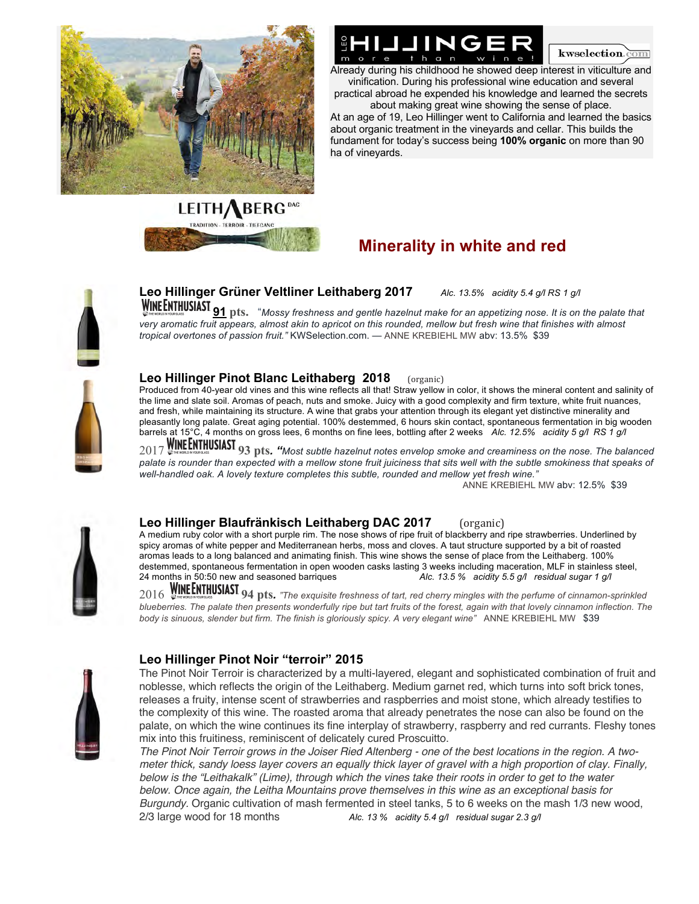



## IING

 $A$  and  $A$  is childhood he showed deep interest in viticulture and already during his childhood he showed deep interest in viticulture and vinification. During his professional wine education and several practical abroad he expended his knowledge and learned the secrets about making great wine showing the sense of place.

At an age of 19, Leo Hillinger went to California and learned the basics about organic treatment in the vineyards and cellar. This builds the fundament for today's success being **100% organic** on more than 90 ha of vineyards.

#### **Minerality in white and red**



### **Leo Hillinger Grüner Veltliner Leithaberg 2017** *Alc. 13.5% acidity 5.4 g/l RS 1 g/l*

**WINE ENTHUSIAST 91** pts. "Mossy freshness and gentle hazelnut make for an appetizing nose. It is on the palate that very aromatic fruit appears, almost akin to apricot on this rounded, mellow but fresh wine that finishes with almost *tropical overtones of passion fruit."* KWSelection.com. — ANNE KREBIEHL MW abv: 13.5% \$39



#### **Leo Hillinger Pinot Blanc Leithaberg 2018** (organic)

Produced from 40-year old vines and this wine reflects all that! Straw yellow in color, it shows the mineral content and salinity of the lime and slate soil. Aromas of peach, nuts and smoke. Juicy with a good complexity and firm texture, white fruit nuances, and fresh, while maintaining its structure. A wine that grabs your attention through its elegant yet distinctive minerality and pleasantly long palate. Great aging potential. 100% destemmed, 6 hours skin contact, spontaneous fermentation in big wooden barrels at 15°C, 4 months on gross lees, 6 months on fine lees, bottling after 2 weeks *Alc. 12.5% acidity 5 g/l RS 1 g/l* 

2017 **93 pts***. "Most subtle hazelnut notes envelop smoke and creaminess on the nose. The balanced*  palate is rounder than expected with a mellow stone fruit juiciness that sits well with the subtle smokiness that speaks of *well-handled oak. A lovely texture completes this subtle, rounded and mellow yet fresh wine."*

ANNE KREBIEHL MW abv: 12.5% \$39



#### **Leo Hillinger Blaufränkisch Leithaberg DAC 2017** (organic)

A medium ruby color with a short purple rim. The nose shows of ripe fruit of blackberry and ripe strawberries. Underlined by spicy aromas of white pepper and Mediterranean herbs, moss and cloves. A taut structure supported by a bit of roasted aromas leads to a long balanced and animating finish. This wine shows the sense of place from the Leithaberg. 100% destemmed, spontaneous fermentation in open wooden casks lasting 3 weeks including maceration, MLF in stainless steel, 24 months in 50:50 new and seasoned barriques *Alc. 13.5 % acidity 5.5 g/l residual sugar 1 g/l* 

2016 **94 pts***. "The exquisite freshness of tart, red cherry mingles with the perfume of cinnamon-sprinkled blueberries. The palate then presents wonderfully ripe but tart fruits of the forest, again with that lovely cinnamon inflection. The body is sinuous, slender but firm. The finish is gloriously spicy. A very elegant wine"* ANNE KREBIEHL MW \$39



#### **Leo Hillinger Pinot Noir "terroir" 2015**

The Pinot Noir Terroir is characterized by a multi-layered, elegant and sophisticated combination of fruit and noblesse, which reflects the origin of the Leithaberg. Medium garnet red, which turns into soft brick tones, releases a fruity, intense scent of strawberries and raspberries and moist stone, which already testifies to the complexity of this wine. The roasted aroma that already penetrates the nose can also be found on the palate, on which the wine continues its fine interplay of strawberry, raspberry and red currants. Fleshy tones mix into this fruitiness, reminiscent of delicately cured Proscuitto.

*The Pinot Noir Terroir grows in the Joiser Ried Altenberg - one of the best locations in the region. A twometer thick, sandy loess layer covers an equally thick layer of gravel with a high proportion of clay. Finally, below is the "Leithakalk" (Lime), through which the vines take their roots in order to get to the water below. Once again, the Leitha Mountains prove themselves in this wine as an exceptional basis for Burgundy.* Organic cultivation of mash fermented in steel tanks, 5 to 6 weeks on the mash 1/3 new wood, 2/3 large wood for 18 months *Alc. 13 % acidity 5.4 g/l residual sugar 2.3 g/l*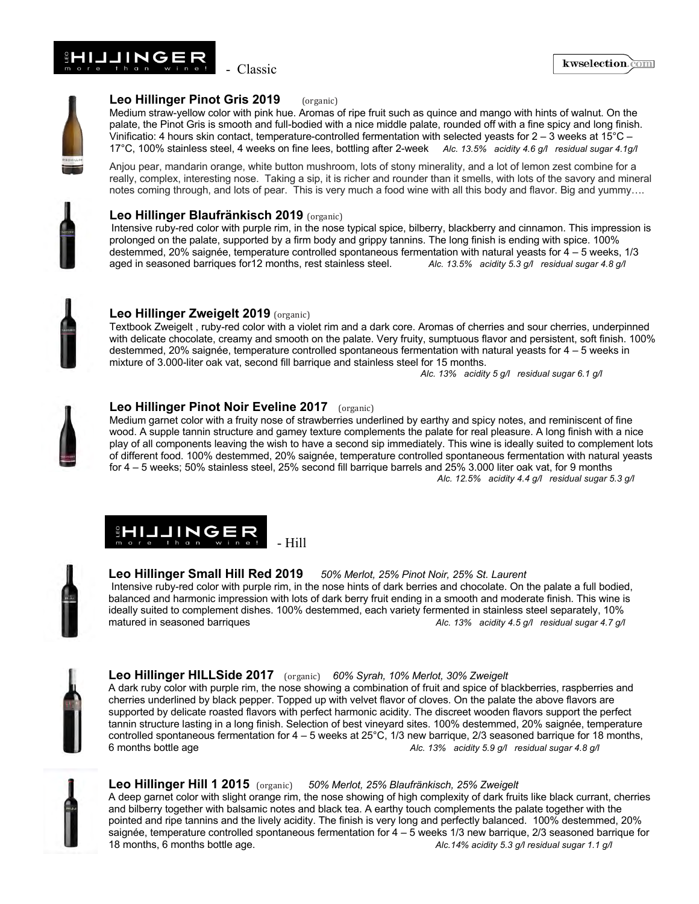



#### **Leo Hillinger Pinot Gris 2019** (organic)

Medium straw-yellow color with pink hue. Aromas of ripe fruit such as quince and mango with hints of walnut. On the palate, the Pinot Gris is smooth and full-bodied with a nice middle palate, rounded off with a fine spicy and long finish. Vinificatio: 4 hours skin contact, temperature-controlled fermentation with selected yeasts for  $2-3$  weeks at  $15^{\circ}$ C – 17°C, 100% stainless steel, 4 weeks on fine lees, bottling after 2-week *Alc. 13.5% acidity 4.6 g/l residual sugar 4.1g/l*

Anjou pear, mandarin orange, white button mushroom, lots of stony minerality, and a lot of lemon zest combine for a really, complex, interesting nose. Taking a sip, it is richer and rounder than it smells, with lots of the savory and mineral notes coming through, and lots of pear. This is very much a food wine with all this body and flavor. Big and yummy….



#### **Leo Hillinger Blaufränkisch 2019** (organic)

Intensive ruby-red color with purple rim, in the nose typical spice, bilberry, blackberry and cinnamon. This impression is prolonged on the palate, supported by a firm body and grippy tannins. The long finish is ending with spice. 100% destemmed, 20% saignée, temperature controlled spontaneous fermentation with natural yeasts for  $4 - 5$  weeks, 1/3<br>aged in seasoned barriques for 12 months, rest stainless steel. <br>Alc. 13.5% acidity 5.3 g/l residual sugar aged in seasoned barriques for 12 months, rest stainless steel.



#### **Leo Hillinger Zweigelt 2019** (organic)

Textbook Zweigelt , ruby-red color with a violet rim and a dark core. Aromas of cherries and sour cherries, underpinned with delicate chocolate, creamy and smooth on the palate. Very fruity, sumptuous flavor and persistent, soft finish. 100% destemmed, 20% saignée, temperature controlled spontaneous fermentation with natural yeasts for 4 – 5 weeks in mixture of 3.000-liter oak vat, second fill barrique and stainless steel for 15 months.

*Alc. 13% acidity 5 g/l residual sugar 6.1 g/l*



#### **Leo Hillinger Pinot Noir Eveline 2017** (organic)

Medium garnet color with a fruity nose of strawberries underlined by earthy and spicy notes, and reminiscent of fine wood. A supple tannin structure and gamey texture complements the palate for real pleasure. A long finish with a nice play of all components leaving the wish to have a second sip immediately. This wine is ideally suited to complement lots of different food. 100% destemmed, 20% saignée, temperature controlled spontaneous fermentation with natural yeasts for 4 – 5 weeks; 50% stainless steel, 25% second fill barrique barrels and 25% 3.000 liter oak vat, for 9 months*Alc. 12.5% acidity 4.4 g/l residual sugar 5.3 g/l*





#### **Leo Hillinger Small Hill Red 2019** *50% Merlot, 25% Pinot Noir, 25% St. Laurent*

Intensive ruby-red color with purple rim, in the nose hints of dark berries and chocolate. On the palate a full bodied, balanced and harmonic impression with lots of dark berry fruit ending in a smooth and moderate finish. This wine is ideally suited to complement dishes. 100% destemmed, each variety fermented in stainless steel separately, 10% matured in seasoned barriques **Alc. 13% acidity 4.5 g/l** residual sugar 4.7 g/l



#### **Leo Hillinger HILLSide 2017** (organic) 60% Syrah, 10% Merlot, 30% Zweigelt

A dark ruby color with purple rim, the nose showing a combination of fruit and spice of blackberries, raspberries and cherries underlined by black pepper. Topped up with velvet flavor of cloves. On the palate the above flavors are supported by delicate roasted flavors with perfect harmonic acidity. The discreet wooden flavors support the perfect tannin structure lasting in a long finish. Selection of best vineyard sites. 100% destemmed, 20% saignée, temperature controlled spontaneous fermentation for  $4 - 5$  weeks at 25°C, 1/3 new barrique, 2/3 seasoned barrique for 18 months, 6 months bottle age *Alc. 13% acidity 5.9 g/l residual sugar 4.8 g/l*



#### Leo Hillinger Hill 1 2015 (organic) 50% Merlot, 25% Blaufränkisch, 25% Zweigelt

A deep garnet color with slight orange rim, the nose showing of high complexity of dark fruits like black currant, cherries and bilberry together with balsamic notes and black tea. A earthy touch complements the palate together with the pointed and ripe tannins and the lively acidity. The finish is very long and perfectly balanced. 100% destemmed, 20% saignée, temperature controlled spontaneous fermentation for 4 – 5 weeks 1/3 new barrique, 2/3 seasoned barrique for 18 months, 6 months bottle age. *Alc.14% acidity 5.3 g/l residual sugar 1.1 g/l*